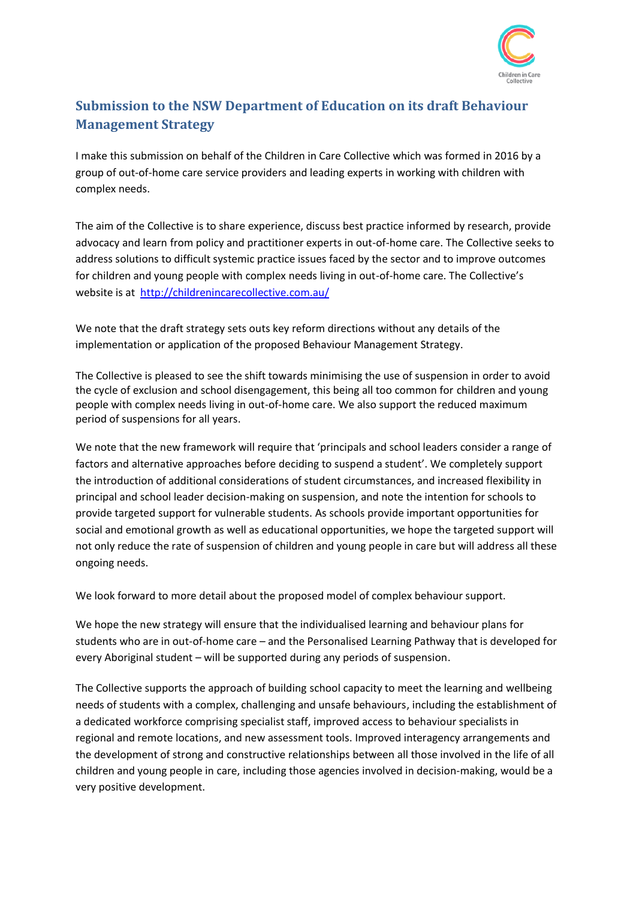

## **Submission to the NSW Department of Education on its draft Behaviour Management Strategy**

I make this submission on behalf of the Children in Care Collective which was formed in 2016 by a group of out-of-home care service providers and leading experts in working with children with complex needs.

The aim of the Collective is to share experience, discuss best practice informed by research, provide advocacy and learn from policy and practitioner experts in out-of-home care. The Collective seeks to address solutions to difficult systemic practice issues faced by the sector and to improve outcomes for children and young people with complex needs living in out-of-home care. The Collective's website is at<http://childrenincarecollective.com.au/>

We note that the draft strategy sets outs key reform directions without any details of the implementation or application of the proposed Behaviour Management Strategy.

The Collective is pleased to see the shift towards minimising the use of suspension in order to avoid the cycle of exclusion and school disengagement, this being all too common for children and young people with complex needs living in out-of-home care. We also support the reduced maximum period of suspensions for all years.

We note that the new framework will require that 'principals and school leaders consider a range of factors and alternative approaches before deciding to suspend a student'. We completely support the introduction of additional considerations of student circumstances, and increased flexibility in principal and school leader decision-making on suspension, and note the intention for schools to provide targeted support for vulnerable students. As schools provide important opportunities for social and emotional growth as well as educational opportunities, we hope the targeted support will not only reduce the rate of suspension of children and young people in care but will address all these ongoing needs.

We look forward to more detail about the proposed model of complex behaviour support.

We hope the new strategy will ensure that the individualised learning and behaviour plans for students who are in out-of-home care – and the Personalised Learning Pathway that is developed for every Aboriginal student – will be supported during any periods of suspension.

The Collective supports the approach of building school capacity to meet the learning and wellbeing needs of students with a complex, challenging and unsafe behaviours, including the establishment of a dedicated workforce comprising specialist staff, improved access to behaviour specialists in regional and remote locations, and new assessment tools. Improved interagency arrangements and the development of strong and constructive relationships between all those involved in the life of all children and young people in care, including those agencies involved in decision-making, would be a very positive development.